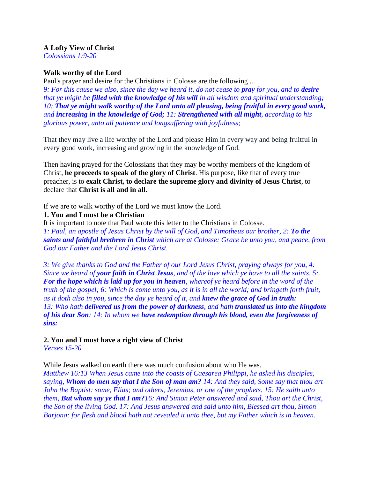### **A Lofty View of Christ**

*Colossians 1:9-20*

## **Walk worthy of the Lord**

Paul's prayer and desire for the Christians in Colosse are the following ...

*9: For this cause we also, since the day we heard it, do not cease to pray for you, and to desire that ye might be filled with the knowledge of his will in all wisdom and spiritual understanding; 10: That ye might walk worthy of the Lord unto all pleasing, being fruitful in every good work, and increasing in the knowledge of God; 11: Strengthened with all might, according to his glorious power, unto all patience and longsuffering with joyfulness;*

That they may live a life worthy of the Lord and please Him in every way and being fruitful in every good work, increasing and growing in the knowledge of God.

Then having prayed for the Colossians that they may be worthy members of the kingdom of Christ, **he proceeds to speak of the glory of Christ**. His purpose, like that of every true preacher, is to **exalt Christ, to declare the supreme glory and divinity of Jesus Christ**, to declare that **Christ is all and in all.**

If we are to walk worthy of the Lord we must know the Lord.

### **1. You and I must be a Christian**

It is important to note that Paul wrote this letter to the Christians in Colosse. *1: Paul, an apostle of Jesus Christ by the will of God, and Timotheus our brother, 2: To the saints and faithful brethren in Christ which are at Colosse: Grace be unto you, and peace, from God our Father and the Lord Jesus Christ.*

*3: We give thanks to God and the Father of our Lord Jesus Christ, praying always for you, 4: Since we heard of your faith in Christ Jesus, and of the love which ye have to all the saints, 5: For the hope which is laid up for you in heaven, whereof ye heard before in the word of the truth of the gospel; 6: Which is come unto you, as it is in all the world; and bringeth forth fruit, as it doth also in you, since the day ye heard of it, and knew the grace of God in truth: 13: Who hath delivered us from the power of darkness, and hath translated us into the kingdom of his dear Son: 14: In whom we have redemption through his blood, even the forgiveness of sins:* 

**2. You and I must have a right view of Christ**

*Verses 15-20* 

While Jesus walked on earth there was much confusion about who He was.

*Matthew 16:13 When Jesus came into the coasts of Caesarea Philippi, he asked his disciples, saying, Whom do men say that I the Son of man am? 14: And they said, Some say that thou art John the Baptist: some, Elias; and others, Jeremias, or one of the prophets. 15: He saith unto them, But whom say ye that I am?16: And Simon Peter answered and said, Thou art the Christ, the Son of the living God. 17: And Jesus answered and said unto him, Blessed art thou, Simon Barjona: for flesh and blood hath not revealed it unto thee, but my Father which is in heaven.*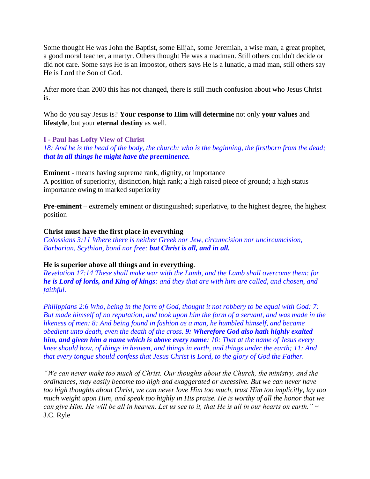Some thought He was John the Baptist, some Elijah, some Jeremiah, a wise man, a great prophet, a good moral teacher, a martyr. Others thought He was a madman. Still others couldn't decide or did not care. Some says He is an impostor, others says He is a lunatic, a mad man, still others say He is Lord the Son of God.

After more than 2000 this has not changed, there is still much confusion about who Jesus Christ is.

Who do you say Jesus is? **Your response to Him will determine** not only **your values** and **lifestyle**, but your **eternal destiny** as well.

## **I - Paul has Lofty View of Christ**

*18: And he is the head of the body, the church: who is the beginning, the firstborn from the dead; that in all things he might have the preeminence.*

**Eminent** - means having supreme rank, dignity, or importance A position of superiority, distinction, high rank; a high raised piece of ground; a high status importance owing to marked superiority

**Pre-eminent** – extremely eminent or distinguished; superlative, to the highest degree, the highest position

### **Christ must have the first place in everything**

*Colossians 3:11 Where there is neither Greek nor Jew, circumcision nor uncircumcision, Barbarian, Scythian, bond nor free: but Christ is all, and in all.*

### **He is superior above all things and in everything**.

*Revelation 17:14 These shall make war with the Lamb, and the Lamb shall overcome them: for he is Lord of lords, and King of kings: and they that are with him are called, and chosen, and faithful.*

*Philippians 2:6 Who, being in the form of God, thought it not robbery to be equal with God: 7: But made himself of no reputation, and took upon him the form of a servant, and was made in the likeness of men: 8: And being found in fashion as a man, he humbled himself, and became obedient unto death, even the death of the cross. 9: Wherefore God also hath highly exalted him, and given him a name which is above every name: 10: That at the name of Jesus every knee should bow, of things in heaven, and things in earth, and things under the earth; 11: And that every tongue should confess that Jesus Christ is Lord, to the glory of God the Father.*

*"We can never make too much of Christ. Our thoughts about the Church, the ministry, and the ordinances, may easily become too high and exaggerated or excessive. But we can never have too high thoughts about Christ, we can never love Him too much, trust Him too implicitly, lay too much weight upon Him, and speak too highly in His praise. He is worthy of all the honor that we can give Him. He will be all in heaven. Let us see to it, that He is all in our hearts on earth.*" ~ J.C. Ryle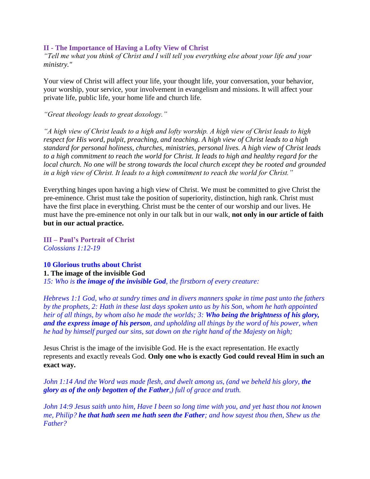### **II - The Importance of Having a Lofty View of Christ**

*"Tell me what you think of Christ and I will tell you everything else about your life and your ministry."*

Your view of Christ will affect your life, your thought life, your conversation, your behavior, your worship, your service, your involvement in evangelism and missions. It will affect your private life, public life, your home life and church life.

*"Great theology leads to great doxology."*

*"A high view of Christ leads to a high and lofty worship. A high view of Christ leads to high respect for His word, pulpit, preaching, and teaching. A high view of Christ leads to a high standard for personal holiness, churches, ministries, personal lives. A high view of Christ leads to a high commitment to reach the world for Christ. It leads to high and healthy regard for the local church. No one will be strong towards the local church except they be rooted and grounded in a high view of Christ. It leads to a high commitment to reach the world for Christ."*

Everything hinges upon having a high view of Christ. We must be committed to give Christ the pre-eminence. Christ must take the position of superiority, distinction, high rank. Christ must have the first place in everything. Christ must be the center of our worship and our lives. He must have the pre-eminence not only in our talk but in our walk, **not only in our article of faith but in our actual practice.**

**III – Paul's Portrait of Christ** *Colossians 1:12-19*

**10 Glorious truths about Christ 1. The image of the invisible God** *15: Who is the image of the invisible God, the firstborn of every creature:* 

*Hebrews 1:1 God, who at sundry times and in divers manners spake in time past unto the fathers by the prophets, 2: Hath in these last days spoken unto us by his Son, whom he hath appointed heir of all things, by whom also he made the worlds; 3: Who being the brightness of his glory, and the express image of his person, and upholding all things by the word of his power, when he had by himself purged our sins, sat down on the right hand of the Majesty on high;*

Jesus Christ is the image of the invisible God. He is the exact representation. He exactly represents and exactly reveals God. **Only one who is exactly God could reveal Him in such an exact way.**

*John 1:14 And the Word was made flesh, and dwelt among us, (and we beheld his glory, the glory as of the only begotten of the Father,) full of grace and truth.*

*John 14:9 Jesus saith unto him, Have I been so long time with you, and yet hast thou not known me, Philip? he that hath seen me hath seen the Father; and how sayest thou then, Shew us the Father?*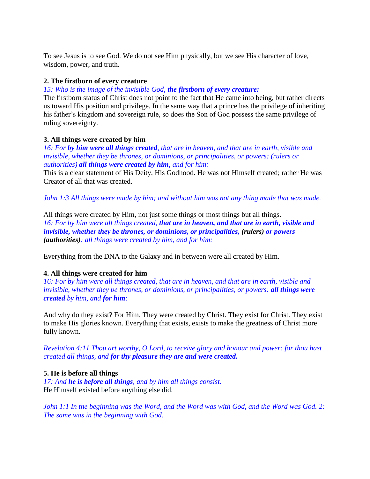To see Jesus is to see God. We do not see Him physically, but we see His character of love, wisdom, power, and truth.

## **2. The firstborn of every creature**

*15: Who is the image of the invisible God, the firstborn of every creature:* 

The firstborn status of Christ does not point to the fact that He came into being, but rather directs us toward His position and privilege. In the same way that a prince has the privilege of inheriting his father's kingdom and sovereign rule, so does the Son of God possess the same privilege of ruling sovereignty.

## **3. All things were created by him**

*16: For by him were all things created, that are in heaven, and that are in earth, visible and invisible, whether they be thrones, or dominions, or principalities, or powers: (rulers or authorities) all things were created by him, and for him:* 

This is a clear statement of His Deity, His Godhood. He was not Himself created; rather He was Creator of all that was created.

*John 1:3 All things were made by him; and without him was not any thing made that was made.*

All things were created by Him, not just some things or most things but all things. *16: For by him were all things created, that are in heaven, and that are in earth, visible and invisible, whether they be thrones, or dominions, or principalities, (rulers) or powers (authorities): all things were created by him, and for him:* 

Everything from the DNA to the Galaxy and in between were all created by Him.

# **4. All things were created for him**

*16: For by him were all things created, that are in heaven, and that are in earth, visible and invisible, whether they be thrones, or dominions, or principalities, or powers: all things were created by him, and for him:*

And why do they exist? For Him. They were created by Christ. They exist for Christ. They exist to make His glories known. Everything that exists, exists to make the greatness of Christ more fully known.

*Revelation 4:11 Thou art worthy, O Lord, to receive glory and honour and power: for thou hast created all things, and for thy pleasure they are and were created.*

# **5. He is before all things**

*17: And he is before all things, and by him all things consist.* He Himself existed before anything else did.

*John 1:1 In the beginning was the Word, and the Word was with God, and the Word was God. 2: The same was in the beginning with God.*